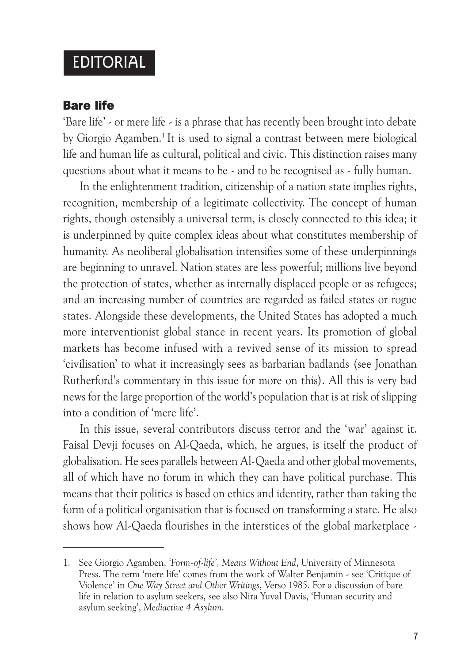## EDITORIAL

#### Bare life

'Bare life' - or mere life - is a phrase that has recently been brought into debate by Giorgio Agamben.<sup>1</sup> It is used to signal a contrast between mere biological life and human life as cultural, political and civic. This distinction raises many questions about what it means to be - and to be recognised as - fully human.

In the enlightenment tradition, citizenship of a nation state implies rights, recognition, membership of a legitimate collectivity. The concept of human rights, though ostensibly a universal term, is closely connected to this idea; it is underpinned by quite complex ideas about what constitutes membership of humanity. As neoliberal globalisation intensifies some of these underpinnings are beginning to unravel. Nation states are less powerful; millions live beyond the protection of states, whether as internally displaced people or as refugees; and an increasing number of countries are regarded as failed states or rogue states. Alongside these developments, the United States has adopted a much more interventionist global stance in recent years. Its promotion of global markets has become infused with a revived sense of its mission to spread 'civilisation' to what it increasingly sees as barbarian badlands (see Jonathan Rutherford's commentary in this issue for more on this). All this is very bad news for the large proportion of the world's population that is at risk of slipping into a condition of 'mere life'.

In this issue, several contributors discuss terror and the 'war' against it. Faisal Devji focuses on Al-Qaeda, which, he argues, is itself the product of globalisation. He sees parallels between Al-Qaeda and other global movements, all of which have no forum in which they can have political purchase. This means that their politics is based on ethics and identity, rather than taking the form of a political organisation that is focused on transforming a state. He also shows how Al-Qaeda flourishes in the interstices of the global marketplace -

<sup>1.</sup> See Giorgio Agamben, 'Form-of-life', Means Without End, University of Minnesota Press. The term 'mere life' comes from the work of Walter Benjamin - see 'Critique of Violenceí in *One Way Street and Other Writings*, Verso 1985. For a discussion of bare life in relation to asylum seekers, see also Nira Yuval Davis, 'Human security and asylum seekingí, *Mediactive 4 Asylum*.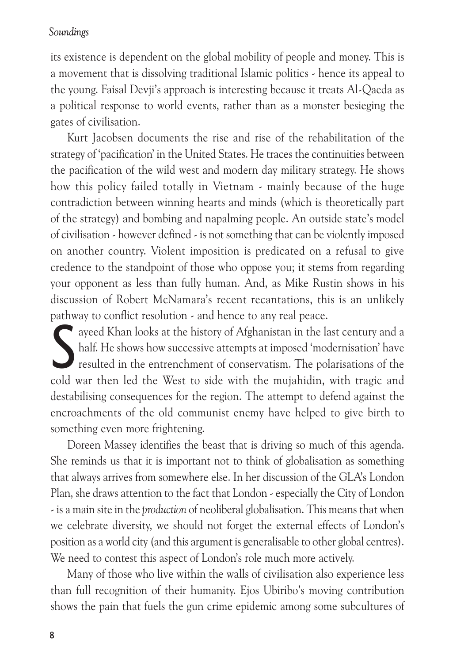its existence is dependent on the global mobility of people and money. This is a movement that is dissolving traditional Islamic politics - hence its appeal to the young. Faisal Devji's approach is interesting because it treats Al-Qaeda as a political response to world events, rather than as a monster besieging the gates of civilisation.

Kurt Jacobsen documents the rise and rise of the rehabilitation of the strategy of 'pacification' in the United States. He traces the continuities between the pacification of the wild west and modern day military strategy. He shows how this policy failed totally in Vietnam - mainly because of the huge contradiction between winning hearts and minds (which is theoretically part of the strategy) and bombing and napalming people. An outside state's model of civilisation - however defined - is not something that can be violently imposed on another country. Violent imposition is predicated on a refusal to give credence to the standpoint of those who oppose you; it stems from regarding your opponent as less than fully human. And, as Mike Rustin shows in his discussion of Robert McNamara's recent recantations, this is an unlikely pathway to conflict resolution - and hence to any real peace.

Sayeed Khan looks at the history of Afghanistan in the last century and a half. He shows how successive attempts at imposed 'modernisation' have resulted in the entrenchment of conservatism. The polarisations of the cold w ayeed Khan looks at the history of Afghanistan in the last century and a  $\Box$  half. He shows how successive attempts at imposed 'modernisation' have resulted in the entrenchment of conservatism. The polarisations of the destabilising consequences for the region. The attempt to defend against the encroachments of the old communist enemy have helped to give birth to something even more frightening.

Doreen Massey identifies the beast that is driving so much of this agenda. She reminds us that it is important not to think of globalisation as something that always arrives from somewhere else. In her discussion of the GLAís London Plan, she draws attention to the fact that London - especially the City of London - is a main site in the *production* of neoliberal globalisation. This means that when we celebrate diversity, we should not forget the external effects of London's position as a world city (and this argument is generalisable to other global centres). We need to contest this aspect of London's role much more actively.

Many of those who live within the walls of civilisation also experience less than full recognition of their humanity. Ejos Ubiriboís moving contribution shows the pain that fuels the gun crime epidemic among some subcultures of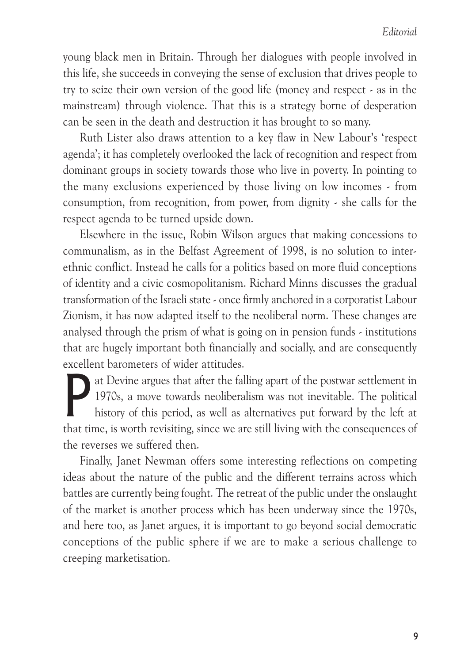young black men in Britain. Through her dialogues with people involved in this life, she succeeds in conveying the sense of exclusion that drives people to try to seize their own version of the good life (money and respect - as in the mainstream) through violence. That this is a strategy borne of desperation can be seen in the death and destruction it has brought to so many.

Ruth Lister also draws attention to a key flaw in New Labour's 'respect agenda'; it has completely overlooked the lack of recognition and respect from dominant groups in society towards those who live in poverty. In pointing to the many exclusions experienced by those living on low incomes - from consumption, from recognition, from power, from dignity - she calls for the respect agenda to be turned upside down.

Elsewhere in the issue, Robin Wilson argues that making concessions to communalism, as in the Belfast Agreement of 1998, is no solution to interethnic conflict. Instead he calls for a politics based on more fluid conceptions of identity and a civic cosmopolitanism. Richard Minns discusses the gradual transformation of the Israeli state - once firmly anchored in a corporatist Labour Zionism, it has now adapted itself to the neoliberal norm. These changes are analysed through the prism of what is going on in pension funds - institutions that are hugely important both financially and socially, and are consequently excellent barometers of wider attitudes.

at Devine argues that after the falling apart of the postwar settlement in 1970s, a move towards neoliberalism was not inevitable. The political history of this period, as well as alternatives put forward by the left at th 1970s, a move towards neoliberalism was not inevitable. The political history of this period, as well as alternatives put forward by the left at that time, is worth revisiting, since we are still living with the consequences of the reverses we suffered then.

Finally, Janet Newman offers some interesting reflections on competing ideas about the nature of the public and the different terrains across which battles are currently being fought. The retreat of the public under the onslaught of the market is another process which has been underway since the 1970s, and here too, as Janet argues, it is important to go beyond social democratic conceptions of the public sphere if we are to make a serious challenge to creeping marketisation.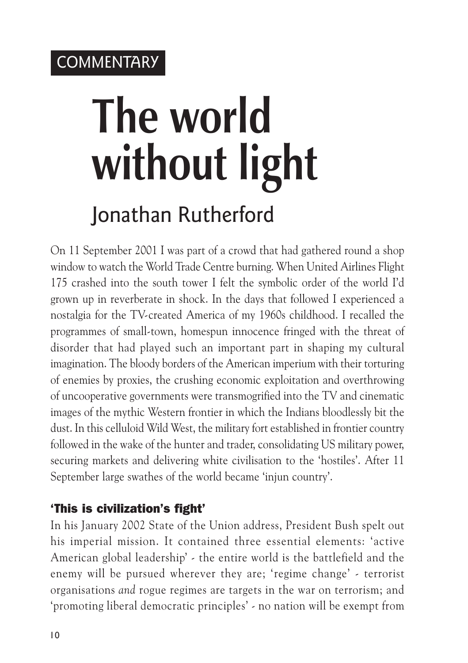# **COMMENTARY**

# **The world without light** Jonathan Rutherford

On 11 September 2001 I was part of a crowd that had gathered round a shop window to watch the World Trade Centre burning. When United Airlines Flight 175 crashed into the south tower I felt the symbolic order of the world Iíd grown up in reverberate in shock. In the days that followed I experienced a nostalgia for the TV-created America of my 1960s childhood. I recalled the programmes of small-town, homespun innocence fringed with the threat of disorder that had played such an important part in shaping my cultural imagination. The bloody borders of the American imperium with their torturing of enemies by proxies, the crushing economic exploitation and overthrowing of uncooperative governments were transmogrified into the TV and cinematic images of the mythic Western frontier in which the Indians bloodlessly bit the dust. In this celluloid Wild West, the military fort established in frontier country followed in the wake of the hunter and trader, consolidating US military power, securing markets and delivering white civilisation to the 'hostiles'. After 11 September large swathes of the world became 'injun country'.

### 'This is civilization's fight'

In his January 2002 State of the Union address, President Bush spelt out his imperial mission. It contained three essential elements: 'active American global leadership' - the entire world is the battlefield and the enemy will be pursued wherever they are; 'regime change' - terrorist organisations *and* rogue regimes are targets in the war on terrorism; and 'promoting liberal democratic principles' - no nation will be exempt from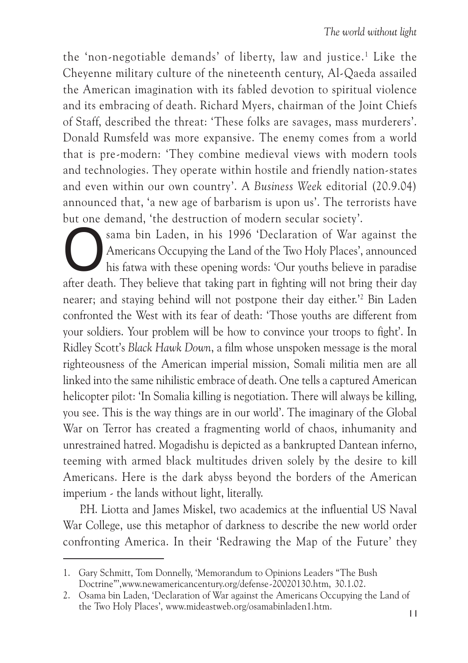the 'non-negotiable demands' of liberty, law and justice.<sup>1</sup> Like the Cheyenne military culture of the nineteenth century, Al-Qaeda assailed the American imagination with its fabled devotion to spiritual violence and its embracing of death. Richard Myers, chairman of the Joint Chiefs of Staff, described the threat: 'These folks are savages, mass murderers'. Donald Rumsfeld was more expansive. The enemy comes from a world that is pre-modern: 'They combine medieval views with modern tools and technologies. They operate within hostile and friendly nation-states and even within our own country<sup>'</sup>. A *Business Week* editorial (20.9.04) announced that, 'a new age of barbarism is upon us'. The terrorists have but one demand, 'the destruction of modern secular society'.

Sama bin Laden, in his 1996 'Declaration of War against the Americans Occupying the Land of the Two Holy Places', announced his fatwa with these opening words: 'Our youths believe in paradise Americans Occupying the Land of the Two Holy Places', announced his fatwa with these opening words: 'Our youths believe in paradise after death. They believe that taking part in fighting will not bring their day nearer; and staying behind will not postpone their day either.<sup>12</sup> Bin Laden confronted the West with its fear of death: 'Those youths are different from your soldiers. Your problem will be how to convince your troops to fight'. In Ridley Scottís *Black Hawk Down*, a film whose unspoken message is the moral righteousness of the American imperial mission, Somali militia men are all linked into the same nihilistic embrace of death. One tells a captured American helicopter pilot: 'In Somalia killing is negotiation. There will always be killing, you see. This is the way things are in our world'. The imaginary of the Global War on Terror has created a fragmenting world of chaos, inhumanity and unrestrained hatred. Mogadishu is depicted as a bankrupted Dantean inferno, teeming with armed black multitudes driven solely by the desire to kill Americans. Here is the dark abyss beyond the borders of the American imperium - the lands without light, literally.

P.H. Liotta and James Miskel, two academics at the influential US Naval War College, use this metaphor of darkness to describe the new world order confronting America. In their 'Redrawing the Map of the Future' they

<sup>1.</sup> Gary Schmitt, Tom Donnelly, 'Memorandum to Opinions Leaders "The Bush Doctrine"',www.newamericancentury.org/defense-20020130.htm, 30.1.02.

<sup>2.</sup> Osama bin Laden, 'Declaration of War against the Americans Occupying the Land of the Two Holy Places', www.mideastweb.org/osamabinladen1.htm.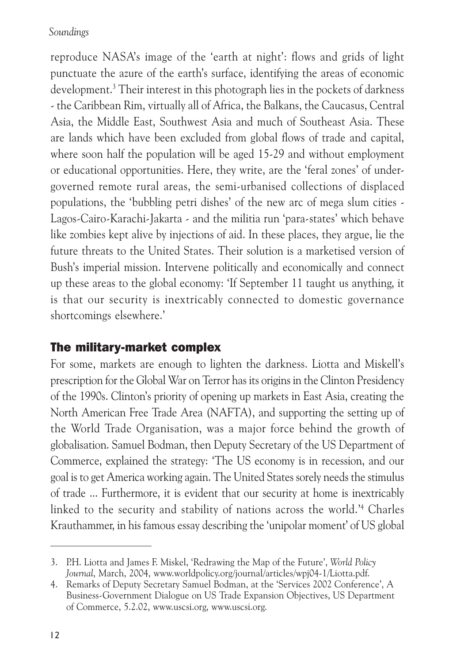reproduce NASA's image of the 'earth at night': flows and grids of light punctuate the azure of the earthís surface, identifying the areas of economic development.3 Their interest in this photograph lies in the pockets of darkness - the Caribbean Rim, virtually all of Africa, the Balkans, the Caucasus, Central Asia, the Middle East, Southwest Asia and much of Southeast Asia. These are lands which have been excluded from global flows of trade and capital, where soon half the population will be aged 15-29 and without employment or educational opportunities. Here, they write, are the 'feral zones' of undergoverned remote rural areas, the semi-urbanised collections of displaced populations, the 'bubbling petri dishes' of the new arc of mega slum cities -Lagos-Cairo-Karachi-Jakarta - and the militia run 'para-states' which behave like zombies kept alive by injections of aid. In these places, they argue, lie the future threats to the United States. Their solution is a marketised version of Bush's imperial mission. Intervene politically and economically and connect up these areas to the global economy: ëIf September 11 taught us anything, it is that our security is inextricably connected to domestic governance shortcomings elsewhere.'

#### The military-market complex

For some, markets are enough to lighten the darkness. Liotta and Miskell's prescription for the Global War on Terror has its origins in the Clinton Presidency of the 1990s. Clintonís priority of opening up markets in East Asia, creating the North American Free Trade Area (NAFTA), and supporting the setting up of the World Trade Organisation, was a major force behind the growth of globalisation. Samuel Bodman, then Deputy Secretary of the US Department of Commerce, explained the strategy: 'The US economy is in recession, and our goal is to get America working again. The United States sorely needs the stimulus of trade ... Furthermore, it is evident that our security at home is inextricably linked to the security and stability of nations across the world.<sup>4</sup> Charles Krauthammer, in his famous essay describing the 'unipolar moment' of US global

<sup>3.</sup> P.H. Liotta and James F. Miskel, 'Redrawing the Map of the Future', *World Policy Journal*, March, 2004, www.worldpolicy.org/journal/articles/wpj04-1/Liotta.pdf.

<sup>4.</sup> Remarks of Deputy Secretary Samuel Bodman, at the 'Services 2002 Conference', A Business-Government Dialogue on US Trade Expansion Objectives, US Department of Commerce, 5.2.02, www.uscsi.org, www.uscsi.org.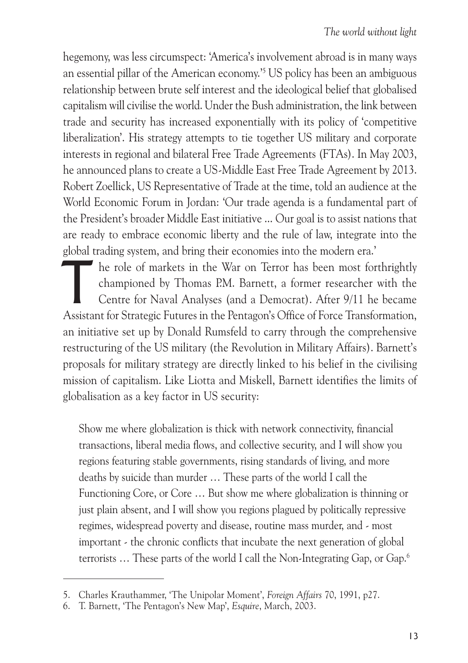hegemony, was less circumspect: 'America's involvement abroad is in many ways an essential pillar of the American economy.'<sup>5</sup> US policy has been an ambiguous relationship between brute self interest and the ideological belief that globalised capitalism will civilise the world. Under the Bush administration, the link between trade and security has increased exponentially with its policy of ëcompetitive liberalization<sup>'</sup>. His strategy attempts to tie together US military and corporate interests in regional and bilateral Free Trade Agreements (FTAs). In May 2003, he announced plans to create a US-Middle East Free Trade Agreement by 2013. Robert Zoellick, US Representative of Trade at the time, told an audience at the World Economic Forum in Jordan: 'Our trade agenda is a fundamental part of the President's broader Middle East initiative ... Our goal is to assist nations that are ready to embrace economic liberty and the rule of law, integrate into the global trading system, and bring their economies into the modern era.'

he role of markets in the War on Terror has been most forthrightly championed by Thomas P.M. Barnett, a former researcher with the Centre for Naval Analyses (and a Democrat). After 9/11 he became Assistant for Strategic Futures in the Pentagon's Office of Force Transformation, an initiative set up by Donald Rumsfeld to carry through the comprehensive restructuring of the US military (the Revolution in Military Affairs). Barnett's proposals for military strategy are directly linked to his belief in the civilising mission of capitalism. Like Liotta and Miskell, Barnett identifies the limits of globalisation as a key factor in US security:

Show me where globalization is thick with network connectivity, financial transactions, liberal media flows, and collective security, and I will show you regions featuring stable governments, rising standards of living, and more deaths by suicide than murder ... These parts of the world I call the Functioning Core, or Core  $\ldots$  But show me where globalization is thinning or just plain absent, and I will show you regions plagued by politically repressive regimes, widespread poverty and disease, routine mass murder, and - most important - the chronic conflicts that incubate the next generation of global terrorists ... These parts of the world I call the Non-Integrating Gap, or Gap.<sup>6</sup>

<sup>5.</sup> Charles Krauthammer, ëThe Unipolar Momentí, *Foreign Affairs* 70, 1991, p27.

<sup>6.</sup> T. Barnett, ëThe Pentagonís New Mapí, *Esquire*, March, 2003.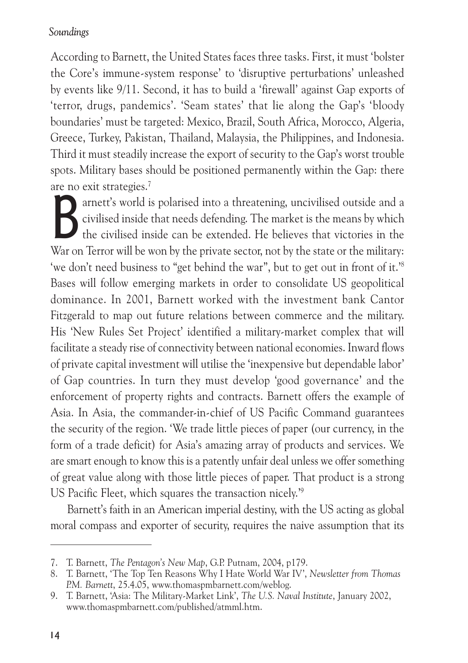According to Barnett, the United States faces three tasks. First, it must 'bolster the Core's immune-system response' to 'disruptive perturbations' unleashed by events like 9/11. Second, it has to build a 'firewall' against Gap exports of 'terror, drugs, pandemics'. 'Seam states' that lie along the Gap's 'bloody boundaries' must be targeted: Mexico, Brazil, South Africa, Morocco, Algeria, Greece, Turkey, Pakistan, Thailand, Malaysia, the Philippines, and Indonesia. Third it must steadily increase the export of security to the Gap's worst trouble spots. Military bases should be positioned permanently within the Gap: there are no exit strategies.7

Farnett's world is polarised into a threatening, uncivilised outside and a civilised inside that needs defending. The market is the means by which the civilised inside can be extended. He believes that victories in the War civilised inside that needs defending. The market is the means by which the civilised inside can be extended. He believes that victories in the War on Terror will be won by the private sector, not by the state or the military: 'we don't need business to "get behind the war", but to get out in front of it.<sup>18</sup> Bases will follow emerging markets in order to consolidate US geopolitical dominance. In 2001, Barnett worked with the investment bank Cantor Fitzgerald to map out future relations between commerce and the military. His 'New Rules Set Project' identified a military-market complex that will facilitate a steady rise of connectivity between national economies. Inward flows of private capital investment will utilise the 'inexpensive but dependable labor' of Gap countries. In turn they must develop 'good governance' and the enforcement of property rights and contracts. Barnett offers the example of Asia. In Asia, the commander-in-chief of US Pacific Command guarantees the security of the region. 'We trade little pieces of paper (our currency, in the form of a trade deficit) for Asiaís amazing array of products and services. We are smart enough to know this is a patently unfair deal unless we offer something of great value along with those little pieces of paper. That product is a strong US Pacific Fleet, which squares the transaction nicely.<sup>19</sup>

Barnett's faith in an American imperial destiny, with the US acting as global moral compass and exporter of security, requires the naive assumption that its

<sup>7.</sup> T. Barnett, *The Pentagonís New Map*, G.P. Putnam, 2004, p179.

<sup>8.</sup> T. Barnett, 'The Top Ten Reasons Why I Hate World War IV', *Newsletter from Thomas P.M. Barnett*, 25.4.05, www.thomaspmbarnett.com/weblog.

<sup>9.</sup> T. Barnett, 'Asia: The Military-Market Link', *The U.S. Naval Institute*, January 2002, www.thomaspmbarnett.com/published/atmml.htm.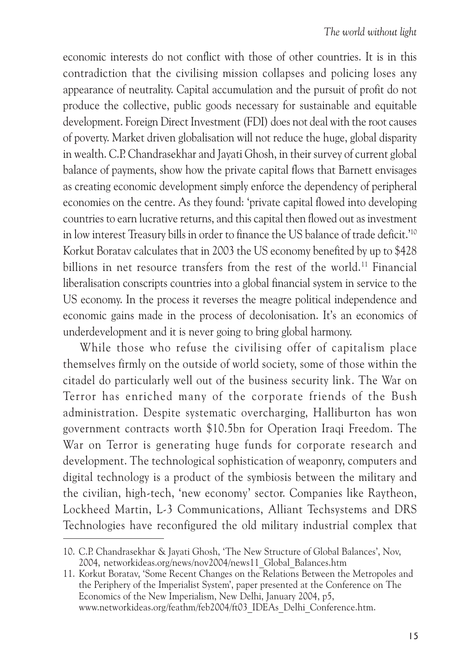economic interests do not conflict with those of other countries. It is in this contradiction that the civilising mission collapses and policing loses any appearance of neutrality. Capital accumulation and the pursuit of profit do not produce the collective, public goods necessary for sustainable and equitable development. Foreign Direct Investment (FDI) does not deal with the root causes of poverty. Market driven globalisation will not reduce the huge, global disparity in wealth. C.P. Chandrasekhar and Jayati Ghosh, in their survey of current global balance of payments, show how the private capital flows that Barnett envisages as creating economic development simply enforce the dependency of peripheral economies on the centre. As they found: ëprivate capital flowed into developing countries to earn lucrative returns, and this capital then flowed out as investment in low interest Treasury bills in order to finance the US balance of trade deficit.<sup>10</sup> Korkut Boratav calculates that in 2003 the US economy benefited by up to \$428 billions in net resource transfers from the rest of the world.<sup>11</sup> Financial liberalisation conscripts countries into a global financial system in service to the US economy. In the process it reverses the meagre political independence and economic gains made in the process of decolonisation. It's an economics of underdevelopment and it is never going to bring global harmony.

While those who refuse the civilising offer of capitalism place themselves firmly on the outside of world society, some of those within the citadel do particularly well out of the business security link. The War on Terror has enriched many of the corporate friends of the Bush administration. Despite systematic overcharging, Halliburton has won government contracts worth \$10.5bn for Operation Iraqi Freedom. The War on Terror is generating huge funds for corporate research and development. The technological sophistication of weaponry, computers and digital technology is a product of the symbiosis between the military and the civilian, high-tech, 'new economy' sector. Companies like Raytheon, Lockheed Martin, L-3 Communications, Alliant Techsystems and DRS Technologies have reconfigured the old military industrial complex that

<sup>10.</sup> C.P. Chandrasekhar & Jayati Ghosh, ëThe New Structure of Global Balancesí, Nov, 2004, networkideas.org/news/nov2004/news11\_Global\_Balances.htm

<sup>11.</sup> Korkut Boratav, 'Some Recent Changes on the Relations Between the Metropoles and the Periphery of the Imperialist System<sup>'</sup>, paper presented at the Conference on The Economics of the New Imperialism, New Delhi, January 2004, p5, www.networkideas.org/feathm/feb2004/ft03\_IDEAs\_Delhi\_Conference.htm.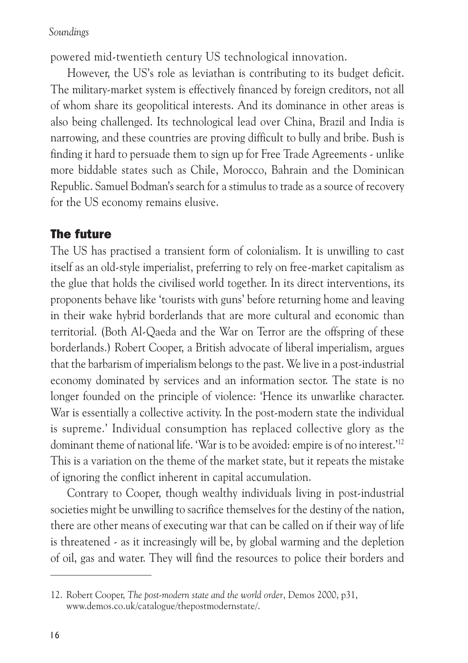powered mid-twentieth century US technological innovation.

However, the US's role as leviathan is contributing to its budget deficit. The military-market system is effectively financed by foreign creditors, not all of whom share its geopolitical interests. And its dominance in other areas is also being challenged. Its technological lead over China, Brazil and India is narrowing, and these countries are proving difficult to bully and bribe. Bush is finding it hard to persuade them to sign up for Free Trade Agreements - unlike more biddable states such as Chile, Morocco, Bahrain and the Dominican Republic. Samuel Bodmanís search for a stimulus to trade as a source of recovery for the US economy remains elusive.

#### The future

The US has practised a transient form of colonialism. It is unwilling to cast itself as an old-style imperialist, preferring to rely on free-market capitalism as the glue that holds the civilised world together. In its direct interventions, its proponents behave like 'tourists with guns' before returning home and leaving in their wake hybrid borderlands that are more cultural and economic than territorial. (Both Al-Qaeda and the War on Terror are the offspring of these borderlands.) Robert Cooper, a British advocate of liberal imperialism, argues that the barbarism of imperialism belongs to the past. We live in a post-industrial economy dominated by services and an information sector. The state is no longer founded on the principle of violence: 'Hence its unwarlike character. War is essentially a collective activity. In the post-modern state the individual is supreme.' Individual consumption has replaced collective glory as the dominant theme of national life. 'War is to be avoided: empire is of no interest.'<sup>12</sup> This is a variation on the theme of the market state, but it repeats the mistake of ignoring the conflict inherent in capital accumulation.

Contrary to Cooper, though wealthy individuals living in post-industrial societies might be unwilling to sacrifice themselves for the destiny of the nation, there are other means of executing war that can be called on if their way of life is threatened - as it increasingly will be, by global warming and the depletion of oil, gas and water. They will find the resources to police their borders and

<sup>12.</sup> Robert Cooper, *The post-modern state and the world order*, Demos 2000, p31, www.demos.co.uk/catalogue/thepostmodernstate/.